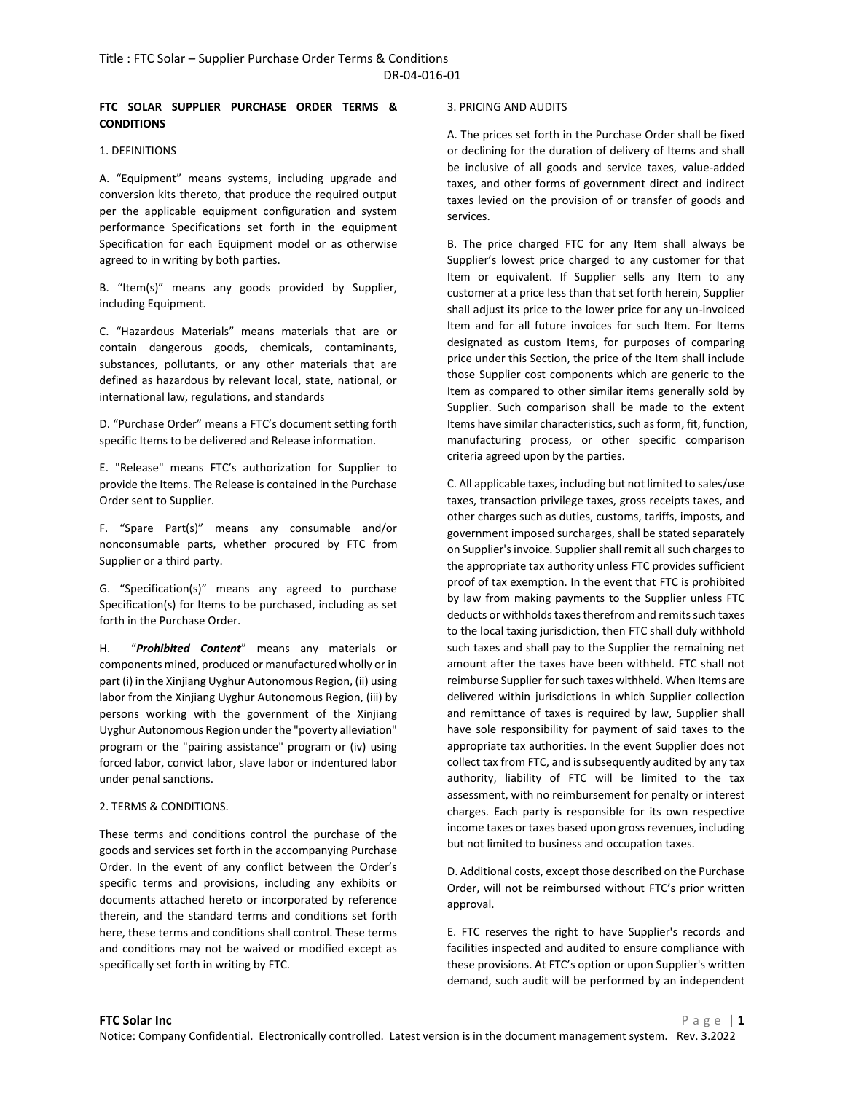# **FTC SOLAR SUPPLIER PURCHASE ORDER TERMS & CONDITIONS**

# 1. DEFINITIONS

A. "Equipment" means systems, including upgrade and conversion kits thereto, that produce the required output per the applicable equipment configuration and system performance Specifications set forth in the equipment Specification for each Equipment model or as otherwise agreed to in writing by both parties.

B. "Item(s)" means any goods provided by Supplier, including Equipment.

C. "Hazardous Materials" means materials that are or contain dangerous goods, chemicals, contaminants, substances, pollutants, or any other materials that are defined as hazardous by relevant local, state, national, or international law, regulations, and standards

D. "Purchase Order" means a FTC's document setting forth specific Items to be delivered and Release information.

E. "Release" means FTC's authorization for Supplier to provide the Items. The Release is contained in the Purchase Order sent to Supplier.

F. "Spare Part(s)" means any consumable and/or nonconsumable parts, whether procured by FTC from Supplier or a third party.

G. "Specification(s)" means any agreed to purchase Specification(s) for Items to be purchased, including as set forth in the Purchase Order.

H. "*Prohibited Content*" means any materials or components mined, produced or manufactured wholly or in part (i) in the Xinjiang Uyghur Autonomous Region, (ii) using labor from the Xinjiang Uyghur Autonomous Region, (iii) by persons working with the government of the Xinjiang Uyghur Autonomous Region under the "poverty alleviation" program or the "pairing assistance" program or (iv) using forced labor, convict labor, slave labor or indentured labor under penal sanctions.

## 2. TERMS & CONDITIONS.

These terms and conditions control the purchase of the goods and services set forth in the accompanying Purchase Order. In the event of any conflict between the Order's specific terms and provisions, including any exhibits or documents attached hereto or incorporated by reference therein, and the standard terms and conditions set forth here, these terms and conditions shall control. These terms and conditions may not be waived or modified except as specifically set forth in writing by FTC.

# 3. PRICING AND AUDITS

A. The prices set forth in the Purchase Order shall be fixed or declining for the duration of delivery of Items and shall be inclusive of all goods and service taxes, value-added taxes, and other forms of government direct and indirect taxes levied on the provision of or transfer of goods and services.

B. The price charged FTC for any Item shall always be Supplier's lowest price charged to any customer for that Item or equivalent. If Supplier sells any Item to any customer at a price less than that set forth herein, Supplier shall adjust its price to the lower price for any un-invoiced Item and for all future invoices for such Item. For Items designated as custom Items, for purposes of comparing price under this Section, the price of the Item shall include those Supplier cost components which are generic to the Item as compared to other similar items generally sold by Supplier. Such comparison shall be made to the extent Items have similar characteristics, such as form, fit, function, manufacturing process, or other specific comparison criteria agreed upon by the parties.

C. All applicable taxes, including but not limited to sales/use taxes, transaction privilege taxes, gross receipts taxes, and other charges such as duties, customs, tariffs, imposts, and government imposed surcharges, shall be stated separately on Supplier's invoice. Supplier shall remit all such charges to the appropriate tax authority unless FTC provides sufficient proof of tax exemption. In the event that FTC is prohibited by law from making payments to the Supplier unless FTC deducts or withholds taxes therefrom and remits such taxes to the local taxing jurisdiction, then FTC shall duly withhold such taxes and shall pay to the Supplier the remaining net amount after the taxes have been withheld. FTC shall not reimburse Supplier for such taxes withheld. When Items are delivered within jurisdictions in which Supplier collection and remittance of taxes is required by law, Supplier shall have sole responsibility for payment of said taxes to the appropriate tax authorities. In the event Supplier does not collect tax from FTC, and is subsequently audited by any tax authority, liability of FTC will be limited to the tax assessment, with no reimbursement for penalty or interest charges. Each party is responsible for its own respective income taxes or taxes based upon gross revenues, including but not limited to business and occupation taxes.

D. Additional costs, except those described on the Purchase Order, will not be reimbursed without FTC's prior written approval.

E. FTC reserves the right to have Supplier's records and facilities inspected and audited to ensure compliance with these provisions. At FTC's option or upon Supplier's written demand, such audit will be performed by an independent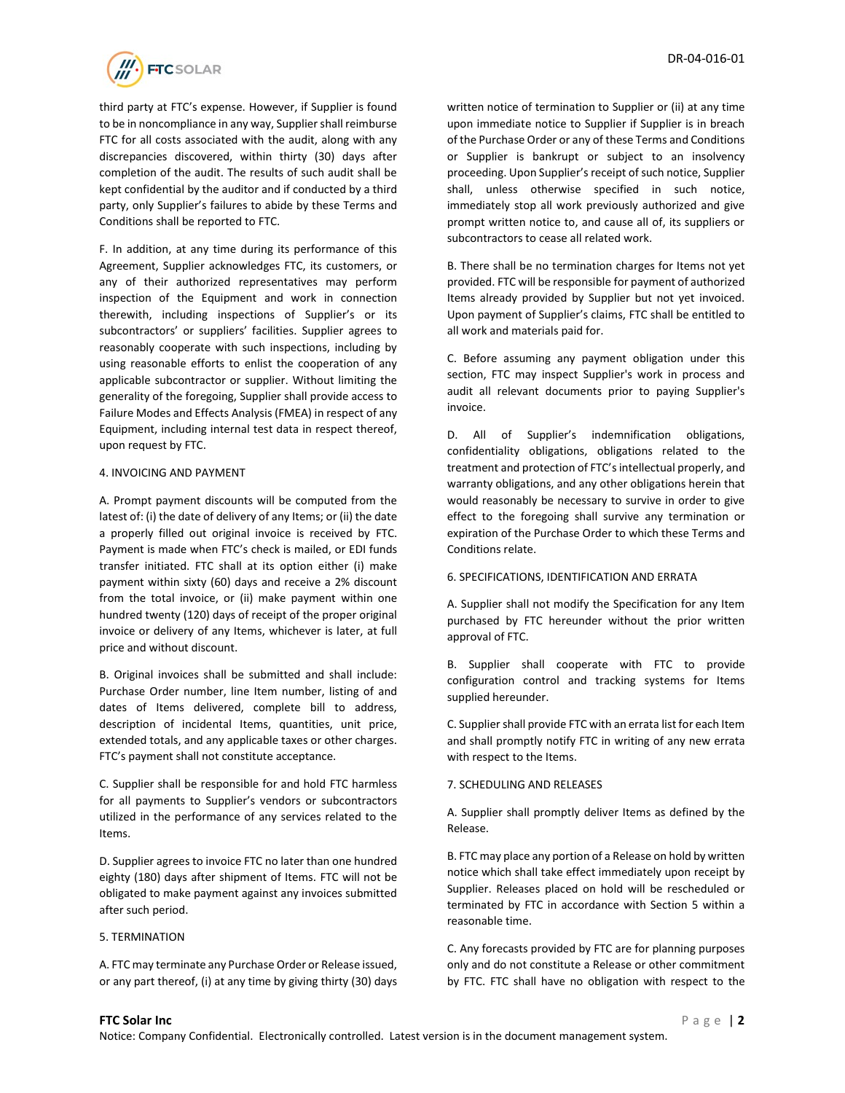

third party at FTC's expense. However, if Supplier is found to be in noncompliance in any way, Supplier shall reimburse FTC for all costs associated with the audit, along with any discrepancies discovered, within thirty (30) days after completion of the audit. The results of such audit shall be kept confidential by the auditor and if conducted by a third party, only Supplier's failures to abide by these Terms and Conditions shall be reported to FTC.

F. In addition, at any time during its performance of this Agreement, Supplier acknowledges FTC, its customers, or any of their authorized representatives may perform inspection of the Equipment and work in connection therewith, including inspections of Supplier's or its subcontractors' or suppliers' facilities. Supplier agrees to reasonably cooperate with such inspections, including by using reasonable efforts to enlist the cooperation of any applicable subcontractor or supplier. Without limiting the generality of the foregoing, Supplier shall provide access to Failure Modes and Effects Analysis (FMEA) in respect of any Equipment, including internal test data in respect thereof, upon request by FTC.

#### 4. INVOICING AND PAYMENT

A. Prompt payment discounts will be computed from the latest of: (i) the date of delivery of any Items; or (ii) the date a properly filled out original invoice is received by FTC. Payment is made when FTC's check is mailed, or EDI funds transfer initiated. FTC shall at its option either (i) make payment within sixty (60) days and receive a 2% discount from the total invoice, or (ii) make payment within one hundred twenty (120) days of receipt of the proper original invoice or delivery of any Items, whichever is later, at full price and without discount.

B. Original invoices shall be submitted and shall include: Purchase Order number, line Item number, listing of and dates of Items delivered, complete bill to address, description of incidental Items, quantities, unit price, extended totals, and any applicable taxes or other charges. FTC's payment shall not constitute acceptance.

C. Supplier shall be responsible for and hold FTC harmless for all payments to Supplier's vendors or subcontractors utilized in the performance of any services related to the Items.

D. Supplier agrees to invoice FTC no later than one hundred eighty (180) days after shipment of Items. FTC will not be obligated to make payment against any invoices submitted after such period.

#### 5. TERMINATION

A. FTC may terminate any Purchase Order or Release issued, or any part thereof, (i) at any time by giving thirty (30) days written notice of termination to Supplier or (ii) at any time upon immediate notice to Supplier if Supplier is in breach of the Purchase Order or any of these Terms and Conditions or Supplier is bankrupt or subject to an insolvency proceeding. Upon Supplier's receipt of such notice, Supplier shall, unless otherwise specified in such notice, immediately stop all work previously authorized and give prompt written notice to, and cause all of, its suppliers or subcontractors to cease all related work.

B. There shall be no termination charges for Items not yet provided. FTC will be responsible for payment of authorized Items already provided by Supplier but not yet invoiced. Upon payment of Supplier's claims, FTC shall be entitled to all work and materials paid for.

C. Before assuming any payment obligation under this section, FTC may inspect Supplier's work in process and audit all relevant documents prior to paying Supplier's invoice.

D. All of Supplier's indemnification obligations, confidentiality obligations, obligations related to the treatment and protection of FTC's intellectual properly, and warranty obligations, and any other obligations herein that would reasonably be necessary to survive in order to give effect to the foregoing shall survive any termination or expiration of the Purchase Order to which these Terms and Conditions relate.

#### 6. SPECIFICATIONS, IDENTIFICATION AND ERRATA

A. Supplier shall not modify the Specification for any Item purchased by FTC hereunder without the prior written approval of FTC.

B. Supplier shall cooperate with FTC to provide configuration control and tracking systems for Items supplied hereunder.

C. Supplier shall provide FTC with an errata list for each Item and shall promptly notify FTC in writing of any new errata with respect to the Items.

#### 7. SCHEDULING AND RELEASES

A. Supplier shall promptly deliver Items as defined by the Release.

B. FTC may place any portion of a Release on hold by written notice which shall take effect immediately upon receipt by Supplier. Releases placed on hold will be rescheduled or terminated by FTC in accordance with Section 5 within a reasonable time.

C. Any forecasts provided by FTC are for planning purposes only and do not constitute a Release or other commitment by FTC. FTC shall have no obligation with respect to the

#### **FTC Solar Inc** P a g e | **2**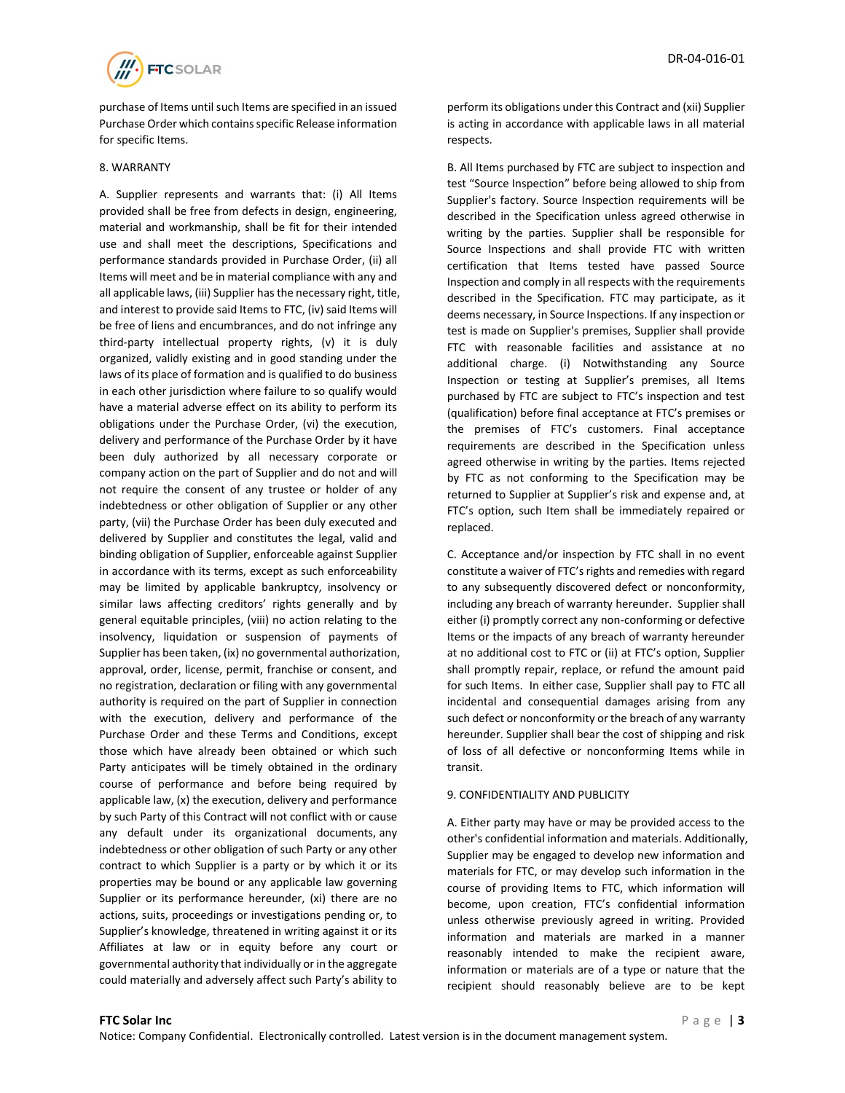

purchase of Items until such Items are specified in an issued Purchase Order which contains specific Release information for specific Items.

#### 8. WARRANTY

A. Supplier represents and warrants that: (i) All Items provided shall be free from defects in design, engineering, material and workmanship, shall be fit for their intended use and shall meet the descriptions, Specifications and performance standards provided in Purchase Order, (ii) all Items will meet and be in material compliance with any and all applicable laws, (iii) Supplier has the necessary right, title, and interest to provide said Items to FTC, (iv) said Items will be free of liens and encumbrances, and do not infringe any third-party intellectual property rights, (v) it is duly organized, validly existing and in good standing under the laws of its place of formation and is qualified to do business in each other jurisdiction where failure to so qualify would have a material adverse effect on its ability to perform its obligations under the Purchase Order, (vi) the execution, delivery and performance of the Purchase Order by it have been duly authorized by all necessary corporate or company action on the part of Supplier and do not and will not require the consent of any trustee or holder of any indebtedness or other obligation of Supplier or any other party, (vii) the Purchase Order has been duly executed and delivered by Supplier and constitutes the legal, valid and binding obligation of Supplier, enforceable against Supplier in accordance with its terms, except as such enforceability may be limited by applicable bankruptcy, insolvency or similar laws affecting creditors' rights generally and by general equitable principles, (viii) no action relating to the insolvency, liquidation or suspension of payments of Supplier has been taken, (ix) no governmental authorization, approval, order, license, permit, franchise or consent, and no registration, declaration or filing with any governmental authority is required on the part of Supplier in connection with the execution, delivery and performance of the Purchase Order and these Terms and Conditions, except those which have already been obtained or which such Party anticipates will be timely obtained in the ordinary course of performance and before being required by applicable law, (x) the execution, delivery and performance by such Party of this Contract will not conflict with or cause any default under its organizational documents, any indebtedness or other obligation of such Party or any other contract to which Supplier is a party or by which it or its properties may be bound or any applicable law governing Supplier or its performance hereunder, (xi) there are no actions, suits, proceedings or investigations pending or, to Supplier's knowledge, threatened in writing against it or its Affiliates at law or in equity before any court or governmental authority that individually or in the aggregate could materially and adversely affect such Party's ability to

perform its obligations under this Contract and (xii) Supplier is acting in accordance with applicable laws in all material respects.

B. All Items purchased by FTC are subject to inspection and test "Source Inspection" before being allowed to ship from Supplier's factory. Source Inspection requirements will be described in the Specification unless agreed otherwise in writing by the parties. Supplier shall be responsible for Source Inspections and shall provide FTC with written certification that Items tested have passed Source Inspection and comply in all respects with the requirements described in the Specification. FTC may participate, as it deems necessary, in Source Inspections. If any inspection or test is made on Supplier's premises, Supplier shall provide FTC with reasonable facilities and assistance at no additional charge. (i) Notwithstanding any Source Inspection or testing at Supplier's premises, all Items purchased by FTC are subject to FTC's inspection and test (qualification) before final acceptance at FTC's premises or the premises of FTC's customers. Final acceptance requirements are described in the Specification unless agreed otherwise in writing by the parties. Items rejected by FTC as not conforming to the Specification may be returned to Supplier at Supplier's risk and expense and, at FTC's option, such Item shall be immediately repaired or replaced.

C. Acceptance and/or inspection by FTC shall in no event constitute a waiver of FTC's rights and remedies with regard to any subsequently discovered defect or nonconformity, including any breach of warranty hereunder. Supplier shall either (i) promptly correct any non-conforming or defective Items or the impacts of any breach of warranty hereunder at no additional cost to FTC or (ii) at FTC's option, Supplier shall promptly repair, replace, or refund the amount paid for such Items. In either case, Supplier shall pay to FTC all incidental and consequential damages arising from any such defect or nonconformity or the breach of any warranty hereunder. Supplier shall bear the cost of shipping and risk of loss of all defective or nonconforming Items while in transit.

#### 9. CONFIDENTIALITY AND PUBLICITY

A. Either party may have or may be provided access to the other's confidential information and materials. Additionally, Supplier may be engaged to develop new information and materials for FTC, or may develop such information in the course of providing Items to FTC, which information will become, upon creation, FTC's confidential information unless otherwise previously agreed in writing. Provided information and materials are marked in a manner reasonably intended to make the recipient aware, information or materials are of a type or nature that the recipient should reasonably believe are to be kept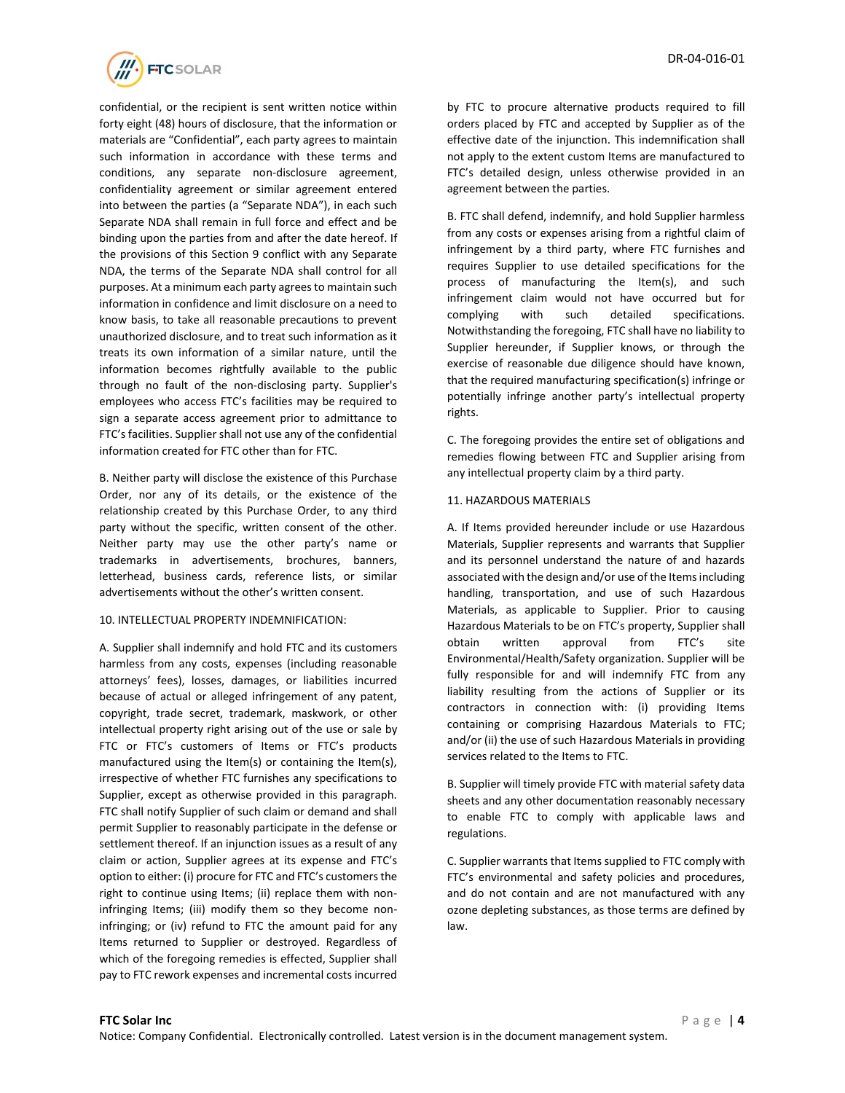

confidential, or the recipient is sent written notice within forty eight (48) hours of disclosure, that the information or materials are "Confidential", each party agrees to maintain such information in accordance with these terms and conditions, any separate non-disclosure agreement, confidentiality agreement or similar agreement entered into between the parties (a "Separate NDA"), in each such Separate NDA shall remain in full force and effect and be binding upon the parties from and after the date hereof. If the provisions of this Section 9 conflict with any Separate NDA, the terms of the Separate NDA shall control for all purposes. At a minimum each party agrees to maintain such information in confidence and limit disclosure on a need to know basis, to take all reasonable precautions to prevent unauthorized disclosure, and to treat such information as it treats its own information of a similar nature, until the information becomes rightfully available to the public through no fault of the non-disclosing party. Supplier's employees who access FTC's facilities may be required to sign a separate access agreement prior to admittance to FTC's facilities. Supplier shall not use any of the confidential information created for FTC other than for FTC.

B. Neither party will disclose the existence of this Purchase Order, nor any of its details, or the existence of the relationship created by this Purchase Order, to any third party without the specific, written consent of the other. Neither party may use the other party's name or trademarks in advertisements, brochures, banners, letterhead, business cards, reference lists, or similar advertisements without the other's written consent.

#### 10. INTELLECTUAL PROPERTY INDEMNIFICATION:

A. Supplier shall indemnify and hold FTC and its customers harmless from any costs, expenses (including reasonable attorneys' fees), losses, damages, or liabilities incurred because of actual or alleged infringement of any patent, copyright, trade secret, trademark, maskwork, or other intellectual property right arising out of the use or sale by FTC or FTC's customers of Items or FTC's products manufactured using the Item(s) or containing the Item(s), irrespective of whether FTC furnishes any specifications to Supplier, except as otherwise provided in this paragraph. FTC shall notify Supplier of such claim or demand and shall permit Supplier to reasonably participate in the defense or settlement thereof. If an injunction issues as a result of any claim or action, Supplier agrees at its expense and FTC's option to either: (i) procure for FTC and FTC's customers the right to continue using Items; (ii) replace them with noninfringing Items; (iii) modify them so they become noninfringing; or (iv) refund to FTC the amount paid for any Items returned to Supplier or destroyed. Regardless of which of the foregoing remedies is effected, Supplier shall pay to FTC rework expenses and incremental costs incurred

by FTC to procure alternative products required to fill orders placed by FTC and accepted by Supplier as of the effective date of the injunction. This indemnification shall not apply to the extent custom Items are manufactured to FTC's detailed design, unless otherwise provided in an agreement between the parties.

B. FTC shall defend, indemnify, and hold Supplier harmless from any costs or expenses arising from a rightful claim of infringement by a third party, where FTC furnishes and requires Supplier to use detailed specifications for the process of manufacturing the Item(s), and such infringement claim would not have occurred but for complying with such detailed specifications. Notwithstanding the foregoing, FTC shall have no liability to Supplier hereunder, if Supplier knows, or through the exercise of reasonable due diligence should have known, that the required manufacturing specification(s) infringe or potentially infringe another party's intellectual property rights.

C. The foregoing provides the entire set of obligations and remedies flowing between FTC and Supplier arising from any intellectual property claim by a third party.

#### 11. HAZARDOUS MATERIALS

A. If Items provided hereunder include or use Hazardous Materials, Supplier represents and warrants that Supplier and its personnel understand the nature of and hazards associated with the design and/or use of the Items including handling, transportation, and use of such Hazardous Materials, as applicable to Supplier. Prior to causing Hazardous Materials to be on FTC's property, Supplier shall obtain written approval from FTC's site Environmental/Health/Safety organization. Supplier will be fully responsible for and will indemnify FTC from any liability resulting from the actions of Supplier or its contractors in connection with: (i) providing Items containing or comprising Hazardous Materials to FTC; and/or (ii) the use of such Hazardous Materials in providing services related to the Items to FTC.

B. Supplier will timely provide FTC with material safety data sheets and any other documentation reasonably necessary to enable FTC to comply with applicable laws and regulations.

C. Supplier warrants that Items supplied to FTC comply with FTC's environmental and safety policies and procedures, and do not contain and are not manufactured with any ozone depleting substances, as those terms are defined by law.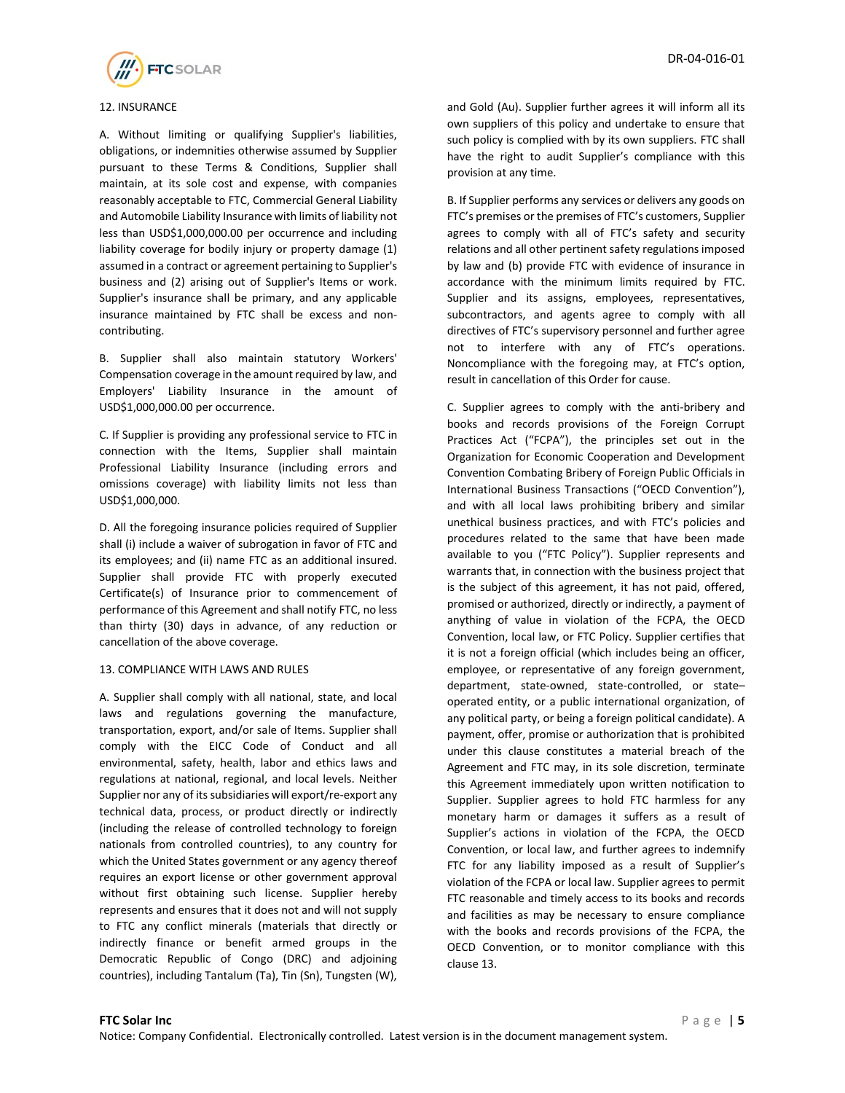

# 12. INSURANCE

A. Without limiting or qualifying Supplier's liabilities, obligations, or indemnities otherwise assumed by Supplier pursuant to these Terms & Conditions, Supplier shall maintain, at its sole cost and expense, with companies reasonably acceptable to FTC, Commercial General Liability and Automobile Liability Insurance with limits of liability not less than USD\$1,000,000.00 per occurrence and including liability coverage for bodily injury or property damage (1) assumed in a contract or agreement pertaining to Supplier's business and (2) arising out of Supplier's Items or work. Supplier's insurance shall be primary, and any applicable insurance maintained by FTC shall be excess and noncontributing.

B. Supplier shall also maintain statutory Workers' Compensation coverage in the amount required by law, and Employers' Liability Insurance in the amount of USD\$1,000,000.00 per occurrence.

C. If Supplier is providing any professional service to FTC in connection with the Items, Supplier shall maintain Professional Liability Insurance (including errors and omissions coverage) with liability limits not less than USD\$1,000,000.

D. All the foregoing insurance policies required of Supplier shall (i) include a waiver of subrogation in favor of FTC and its employees; and (ii) name FTC as an additional insured. Supplier shall provide FTC with properly executed Certificate(s) of Insurance prior to commencement of performance of this Agreement and shall notify FTC, no less than thirty (30) days in advance, of any reduction or cancellation of the above coverage.

#### 13. COMPLIANCE WITH LAWS AND RULES

A. Supplier shall comply with all national, state, and local laws and regulations governing the manufacture, transportation, export, and/or sale of Items. Supplier shall comply with the EICC Code of Conduct and all environmental, safety, health, labor and ethics laws and regulations at national, regional, and local levels. Neither Supplier nor any of its subsidiaries will export/re-export any technical data, process, or product directly or indirectly (including the release of controlled technology to foreign nationals from controlled countries), to any country for which the United States government or any agency thereof requires an export license or other government approval without first obtaining such license. Supplier hereby represents and ensures that it does not and will not supply to FTC any conflict minerals (materials that directly or indirectly finance or benefit armed groups in the Democratic Republic of Congo (DRC) and adjoining countries), including Tantalum (Ta), Tin (Sn), Tungsten (W),

and Gold (Au). Supplier further agrees it will inform all its own suppliers of this policy and undertake to ensure that such policy is complied with by its own suppliers. FTC shall have the right to audit Supplier's compliance with this provision at any time.

B. If Supplier performs any services or delivers any goods on FTC's premises or the premises of FTC's customers, Supplier agrees to comply with all of FTC's safety and security relations and all other pertinent safety regulations imposed by law and (b) provide FTC with evidence of insurance in accordance with the minimum limits required by FTC. Supplier and its assigns, employees, representatives, subcontractors, and agents agree to comply with all directives of FTC's supervisory personnel and further agree not to interfere with any of FTC's operations. Noncompliance with the foregoing may, at FTC's option, result in cancellation of this Order for cause.

C. Supplier agrees to comply with the anti-bribery and books and records provisions of the Foreign Corrupt Practices Act ("FCPA"), the principles set out in the Organization for Economic Cooperation and Development Convention Combating Bribery of Foreign Public Officials in International Business Transactions ("OECD Convention"), and with all local laws prohibiting bribery and similar unethical business practices, and with FTC's policies and procedures related to the same that have been made available to you ("FTC Policy"). Supplier represents and warrants that, in connection with the business project that is the subject of this agreement, it has not paid, offered, promised or authorized, directly or indirectly, a payment of anything of value in violation of the FCPA, the OECD Convention, local law, or FTC Policy. Supplier certifies that it is not a foreign official (which includes being an officer, employee, or representative of any foreign government, department, state-owned, state-controlled, or state– operated entity, or a public international organization, of any political party, or being a foreign political candidate). A payment, offer, promise or authorization that is prohibited under this clause constitutes a material breach of the Agreement and FTC may, in its sole discretion, terminate this Agreement immediately upon written notification to Supplier. Supplier agrees to hold FTC harmless for any monetary harm or damages it suffers as a result of Supplier's actions in violation of the FCPA, the OECD Convention, or local law, and further agrees to indemnify FTC for any liability imposed as a result of Supplier's violation of the FCPA or local law. Supplier agrees to permit FTC reasonable and timely access to its books and records and facilities as may be necessary to ensure compliance with the books and records provisions of the FCPA, the OECD Convention, or to monitor compliance with this clause 13.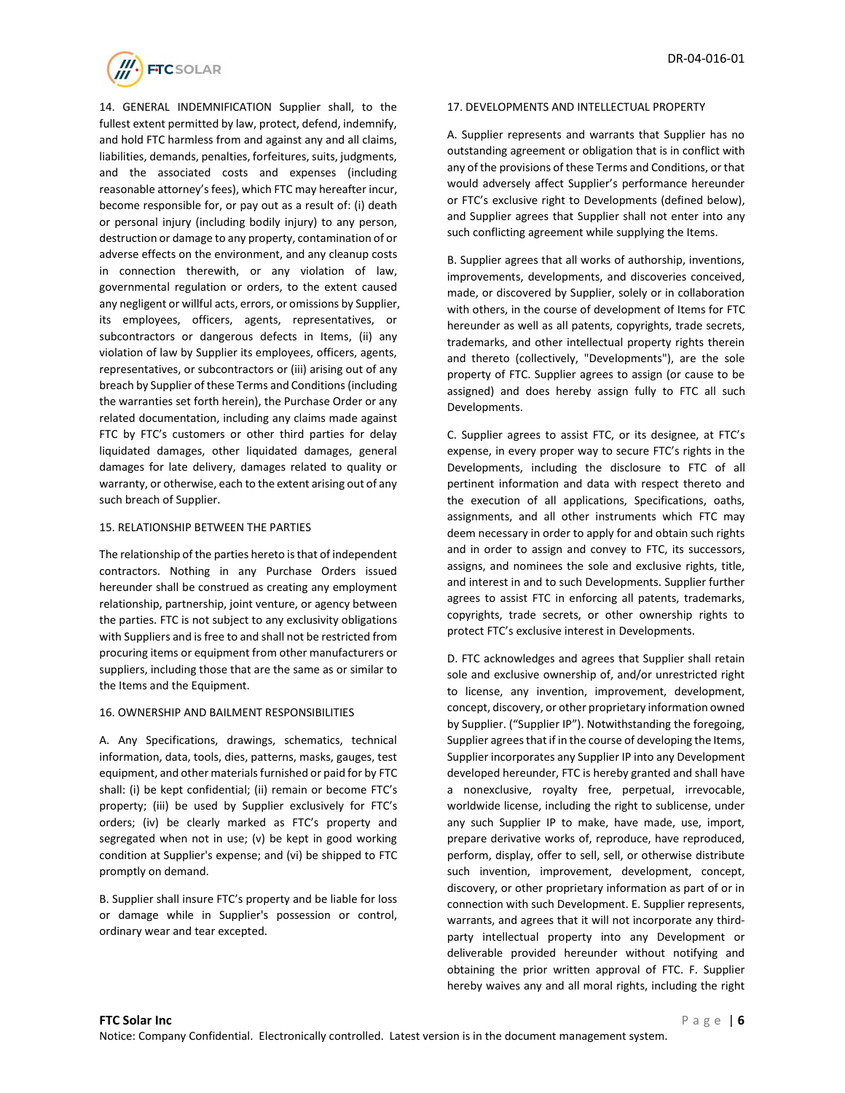

14. GENERAL INDEMNIFICATION Supplier shall, to the fullest extent permitted by law, protect, defend, indemnify, and hold FTC harmless from and against any and all claims, liabilities, demands, penalties, forfeitures, suits, judgments, and the associated costs and expenses (including reasonable attorney's fees), which FTC may hereafter incur, become responsible for, or pay out as a result of: (i) death or personal injury (including bodily injury) to any person, destruction or damage to any property, contamination of or adverse effects on the environment, and any cleanup costs in connection therewith, or any violation of law, governmental regulation or orders, to the extent caused any negligent or willful acts, errors, or omissions by Supplier, its employees, officers, agents, representatives, or subcontractors or dangerous defects in Items, (ii) any violation of law by Supplier its employees, officers, agents, representatives, or subcontractors or (iii) arising out of any breach by Supplier of these Terms and Conditions (including the warranties set forth herein), the Purchase Order or any related documentation, including any claims made against FTC by FTC's customers or other third parties for delay liquidated damages, other liquidated damages, general damages for late delivery, damages related to quality or warranty, or otherwise, each to the extent arising out of any such breach of Supplier.

#### 15. RELATIONSHIP BETWEEN THE PARTIES

The relationship of the parties hereto is that of independent contractors. Nothing in any Purchase Orders issued hereunder shall be construed as creating any employment relationship, partnership, joint venture, or agency between the parties. FTC is not subject to any exclusivity obligations with Suppliers and is free to and shall not be restricted from procuring items or equipment from other manufacturers or suppliers, including those that are the same as or similar to the Items and the Equipment.

#### 16. OWNERSHIP AND BAILMENT RESPONSIBILITIES

A. Any Specifications, drawings, schematics, technical information, data, tools, dies, patterns, masks, gauges, test equipment, and other materials furnished or paid for by FTC shall: (i) be kept confidential; (ii) remain or become FTC's property; (iii) be used by Supplier exclusively for FTC's orders; (iv) be clearly marked as FTC's property and segregated when not in use; (v) be kept in good working condition at Supplier's expense; and (vi) be shipped to FTC promptly on demand.

B. Supplier shall insure FTC's property and be liable for loss or damage while in Supplier's possession or control, ordinary wear and tear excepted.

### 17. DEVELOPMENTS AND INTELLECTUAL PROPERTY

A. Supplier represents and warrants that Supplier has no outstanding agreement or obligation that is in conflict with any of the provisions of these Terms and Conditions, or that would adversely affect Supplier's performance hereunder or FTC's exclusive right to Developments (defined below), and Supplier agrees that Supplier shall not enter into any such conflicting agreement while supplying the Items.

B. Supplier agrees that all works of authorship, inventions, improvements, developments, and discoveries conceived, made, or discovered by Supplier, solely or in collaboration with others, in the course of development of Items for FTC hereunder as well as all patents, copyrights, trade secrets, trademarks, and other intellectual property rights therein and thereto (collectively, "Developments"), are the sole property of FTC. Supplier agrees to assign (or cause to be assigned) and does hereby assign fully to FTC all such Developments.

C. Supplier agrees to assist FTC, or its designee, at FTC's expense, in every proper way to secure FTC's rights in the Developments, including the disclosure to FTC of all pertinent information and data with respect thereto and the execution of all applications, Specifications, oaths, assignments, and all other instruments which FTC may deem necessary in order to apply for and obtain such rights and in order to assign and convey to FTC, its successors, assigns, and nominees the sole and exclusive rights, title, and interest in and to such Developments. Supplier further agrees to assist FTC in enforcing all patents, trademarks, copyrights, trade secrets, or other ownership rights to protect FTC's exclusive interest in Developments.

D. FTC acknowledges and agrees that Supplier shall retain sole and exclusive ownership of, and/or unrestricted right to license, any invention, improvement, development, concept, discovery, or other proprietary information owned by Supplier. ("Supplier IP"). Notwithstanding the foregoing, Supplier agrees that if in the course of developing the Items, Supplier incorporates any Supplier IP into any Development developed hereunder, FTC is hereby granted and shall have a nonexclusive, royalty free, perpetual, irrevocable, worldwide license, including the right to sublicense, under any such Supplier IP to make, have made, use, import, prepare derivative works of, reproduce, have reproduced, perform, display, offer to sell, sell, or otherwise distribute such invention, improvement, development, concept, discovery, or other proprietary information as part of or in connection with such Development. E. Supplier represents, warrants, and agrees that it will not incorporate any thirdparty intellectual property into any Development or deliverable provided hereunder without notifying and obtaining the prior written approval of FTC. F. Supplier hereby waives any and all moral rights, including the right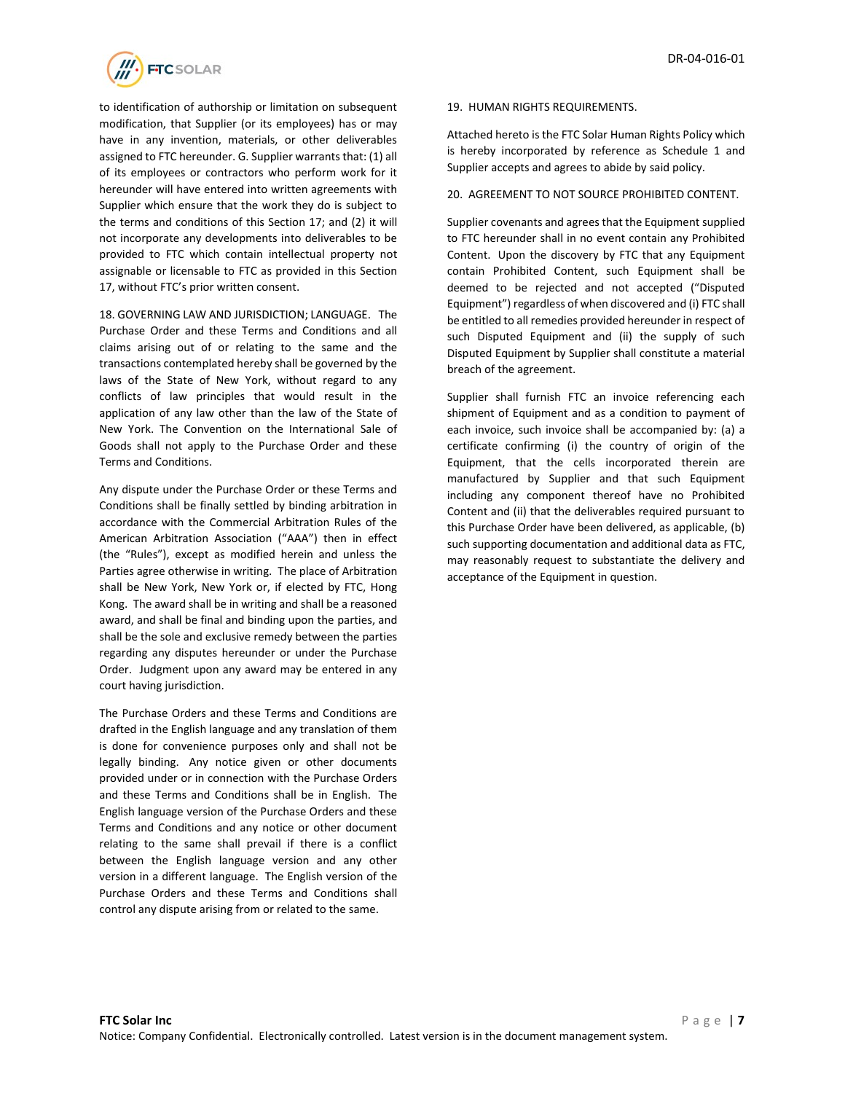

to identification of authorship or limitation on subsequent modification, that Supplier (or its employees) has or may have in any invention, materials, or other deliverables assigned to FTC hereunder. G. Supplier warrants that: (1) all of its employees or contractors who perform work for it hereunder will have entered into written agreements with Supplier which ensure that the work they do is subject to the terms and conditions of this Section 17; and (2) it will not incorporate any developments into deliverables to be provided to FTC which contain intellectual property not assignable or licensable to FTC as provided in this Section 17, without FTC's prior written consent.

18. GOVERNING LAW AND JURISDICTION; LANGUAGE. The Purchase Order and these Terms and Conditions and all claims arising out of or relating to the same and the transactions contemplated hereby shall be governed by the laws of the State of New York, without regard to any conflicts of law principles that would result in the application of any law other than the law of the State of New York. The Convention on the International Sale of Goods shall not apply to the Purchase Order and these Terms and Conditions.

Any dispute under the Purchase Order or these Terms and Conditions shall be finally settled by binding arbitration in accordance with the Commercial Arbitration Rules of the American Arbitration Association ("AAA") then in effect (the "Rules"), except as modified herein and unless the Parties agree otherwise in writing. The place of Arbitration shall be New York, New York or, if elected by FTC, Hong Kong. The award shall be in writing and shall be a reasoned award, and shall be final and binding upon the parties, and shall be the sole and exclusive remedy between the parties regarding any disputes hereunder or under the Purchase Order. Judgment upon any award may be entered in any court having jurisdiction.

The Purchase Orders and these Terms and Conditions are drafted in the English language and any translation of them is done for convenience purposes only and shall not be legally binding. Any notice given or other documents provided under or in connection with the Purchase Orders and these Terms and Conditions shall be in English. The English language version of the Purchase Orders and these Terms and Conditions and any notice or other document relating to the same shall prevail if there is a conflict between the English language version and any other version in a different language. The English version of the Purchase Orders and these Terms and Conditions shall control any dispute arising from or related to the same.

# 19. HUMAN RIGHTS REQUIREMENTS.

Attached hereto is the FTC Solar Human Rights Policy which is hereby incorporated by reference as Schedule 1 and Supplier accepts and agrees to abide by said policy.

# 20. AGREEMENT TO NOT SOURCE PROHIBITED CONTENT.

Supplier covenants and agrees that the Equipment supplied to FTC hereunder shall in no event contain any Prohibited Content. Upon the discovery by FTC that any Equipment contain Prohibited Content, such Equipment shall be deemed to be rejected and not accepted ("Disputed Equipment") regardless of when discovered and (i) FTC shall be entitled to all remedies provided hereunder in respect of such Disputed Equipment and (ii) the supply of such Disputed Equipment by Supplier shall constitute a material breach of the agreement.

Supplier shall furnish FTC an invoice referencing each shipment of Equipment and as a condition to payment of each invoice, such invoice shall be accompanied by: (a) a certificate confirming (i) the country of origin of the Equipment, that the cells incorporated therein are manufactured by Supplier and that such Equipment including any component thereof have no Prohibited Content and (ii) that the deliverables required pursuant to this Purchase Order have been delivered, as applicable, (b) such supporting documentation and additional data as FTC, may reasonably request to substantiate the delivery and acceptance of the Equipment in question.